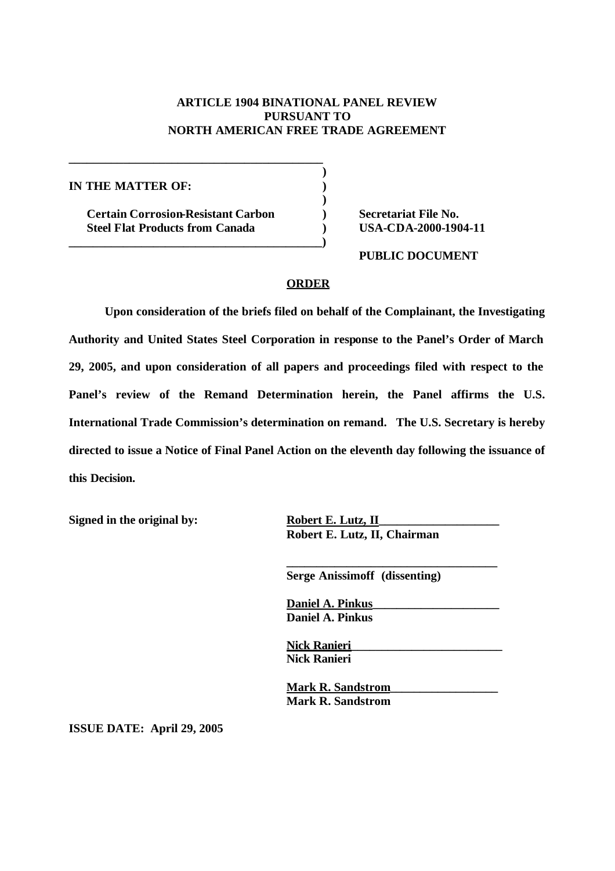## **ARTICLE 1904 BINATIONAL PANEL REVIEW PURSUANT TO NORTH AMERICAN FREE TRADE AGREEMENT**

**)**

**)**

**IN THE MATTER OF: )**

**Certain Corrosion-Resistant Carbon ) Secretariat File No. Steel Flat Products from Canada ) USA-CDA-2000-1904-11**

**\_\_\_\_\_\_\_\_\_\_\_\_\_\_\_\_\_\_\_\_\_\_\_\_\_\_\_\_\_\_\_\_\_\_\_\_\_\_\_\_\_\_**

**\_\_\_\_\_\_\_\_\_\_\_\_\_\_\_\_\_\_\_\_\_\_\_\_\_\_\_\_\_\_\_\_\_\_\_\_\_\_\_\_\_\_)**

**PUBLIC DOCUMENT**

## **ORDER**

**Upon consideration of the briefs filed on behalf of the Complainant, the Investigating Authority and United States Steel Corporation in response to the Panel's Order of March 29, 2005, and upon consideration of all papers and proceedings filed with respect to the Panel's review of the Remand Determination herein, the Panel affirms the U.S. International Trade Commission's determination on remand. The U.S. Secretary is hereby directed to issue a Notice of Final Panel Action on the eleventh day following the issuance of this Decision.**

Signed in the original by: Robert E. Lutz, II

**Robert E. Lutz, II, Chairman**

**Serge Anissimoff (dissenting)**

**\_\_\_\_\_\_\_\_\_\_\_\_\_\_\_\_\_\_\_\_\_\_\_\_\_\_\_\_\_\_\_\_\_\_\_**

**Daniel A. Pinkus\_\_\_\_\_\_\_\_\_\_\_\_\_\_\_\_\_\_\_\_\_ Daniel A. Pinkus**

**Nick Ranieri\_\_\_\_\_\_\_\_\_\_\_\_\_\_\_\_\_\_\_\_\_\_\_\_\_ Nick Ranieri**

**Mark R. Sandstrom\_\_\_\_\_\_\_\_\_\_\_\_\_\_\_\_\_\_ Mark R. Sandstrom**

**ISSUE DATE: April 29, 2005**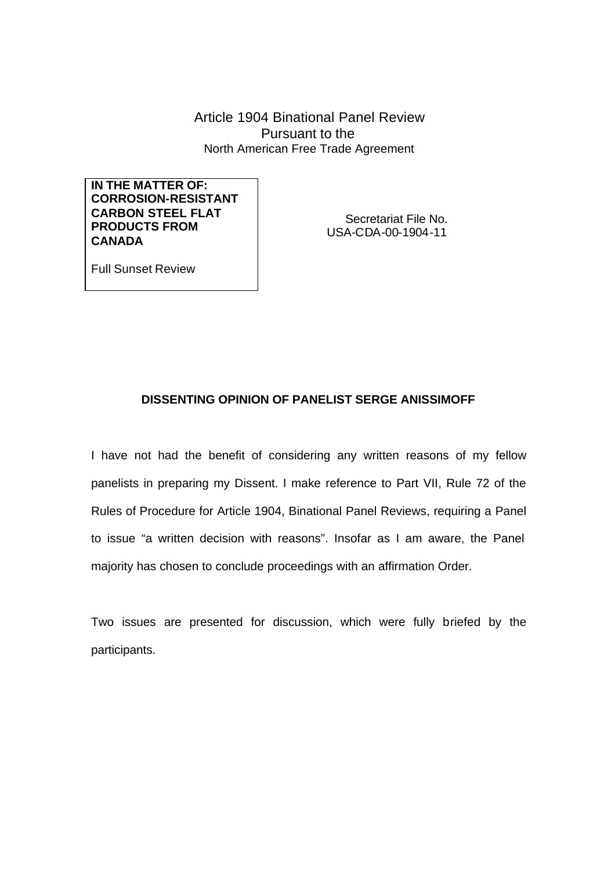Article 1904 Binational Panel Review Pursuant to the North American Free Trade Agreement

**IN THE MATTER OF: CORROSION-RESISTANT CARBON STEEL FLAT PRODUCTS FROM CANADA**

Secretariat File No. USA-CDA-00-1904-11

Full Sunset Review

# **DISSENTING OPINION OF PANELIST SERGE ANISSIMOFF**

I have not had the benefit of considering any written reasons of my fellow panelists in preparing my Dissent. I make reference to Part VII, Rule 72 of the Rules of Procedure for Article 1904, Binational Panel Reviews, requiring a Panel to issue "a written decision with reasons". Insofar as I am aware, the Panel majority has chosen to conclude proceedings with an affirmation Order.

Two issues are presented for discussion, which were fully briefed by the participants.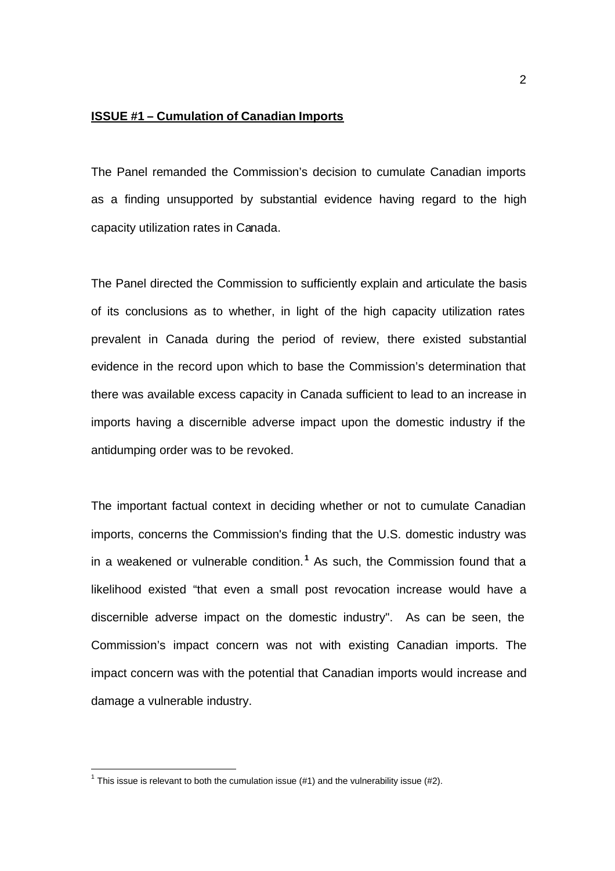#### **ISSUE #1 – Cumulation of Canadian Imports**

The Panel remanded the Commission's decision to cumulate Canadian imports as a finding unsupported by substantial evidence having regard to the high capacity utilization rates in Canada.

The Panel directed the Commission to sufficiently explain and articulate the basis of its conclusions as to whether, in light of the high capacity utilization rates prevalent in Canada during the period of review, there existed substantial evidence in the record upon which to base the Commission's determination that there was available excess capacity in Canada sufficient to lead to an increase in imports having a discernible adverse impact upon the domestic industry if the antidumping order was to be revoked.

The important factual context in deciding whether or not to cumulate Canadian imports, concerns the Commission's finding that the U.S. domestic industry was in a weakened or vulnerable condition. **<sup>1</sup>** As such, the Commission found that a likelihood existed "that even a small post revocation increase would have a discernible adverse impact on the domestic industry". As can be seen, the Commission's impact concern was not with existing Canadian imports. The impact concern was with the potential that Canadian imports would increase and damage a vulnerable industry.

<sup>&</sup>lt;sup>1</sup> This issue is relevant to both the cumulation issue (#1) and the vulnerability issue (#2).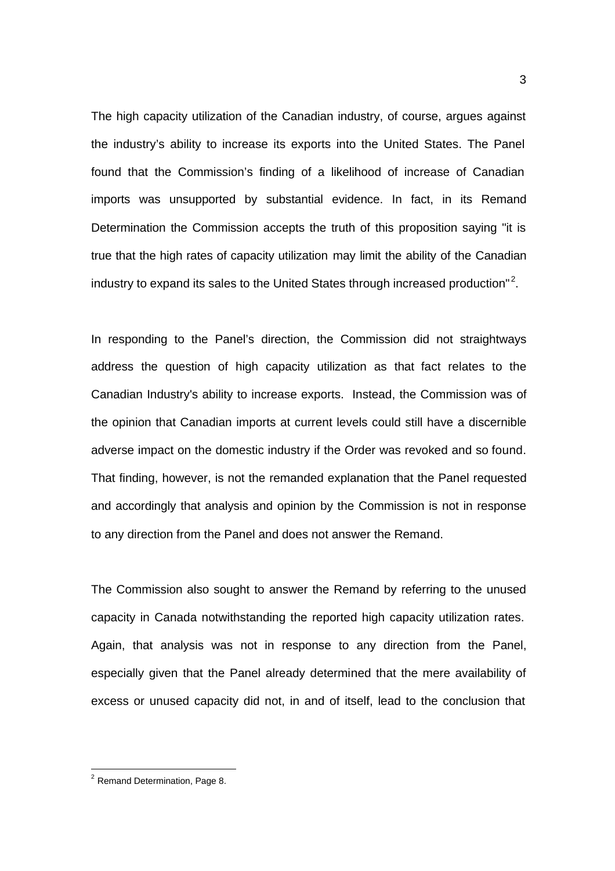The high capacity utilization of the Canadian industry, of course, argues against the industry's ability to increase its exports into the United States. The Panel found that the Commission's finding of a likelihood of increase of Canadian imports was unsupported by substantial evidence. In fact, in its Remand Determination the Commission accepts the truth of this proposition saying "it is true that the high rates of capacity utilization may limit the ability of the Canadian industry to expand its sales to the United States through increased production"<sup>2</sup>.

In responding to the Panel's direction, the Commission did not straightways address the question of high capacity utilization as that fact relates to the Canadian Industry's ability to increase exports. Instead, the Commission was of the opinion that Canadian imports at current levels could still have a discernible adverse impact on the domestic industry if the Order was revoked and so found. That finding, however, is not the remanded explanation that the Panel requested and accordingly that analysis and opinion by the Commission is not in response to any direction from the Panel and does not answer the Remand.

The Commission also sought to answer the Remand by referring to the unused capacity in Canada notwithstanding the reported high capacity utilization rates. Again, that analysis was not in response to any direction from the Panel, especially given that the Panel already determined that the mere availability of excess or unused capacity did not, in and of itself, lead to the conclusion that

 $2$  Remand Determination, Page 8.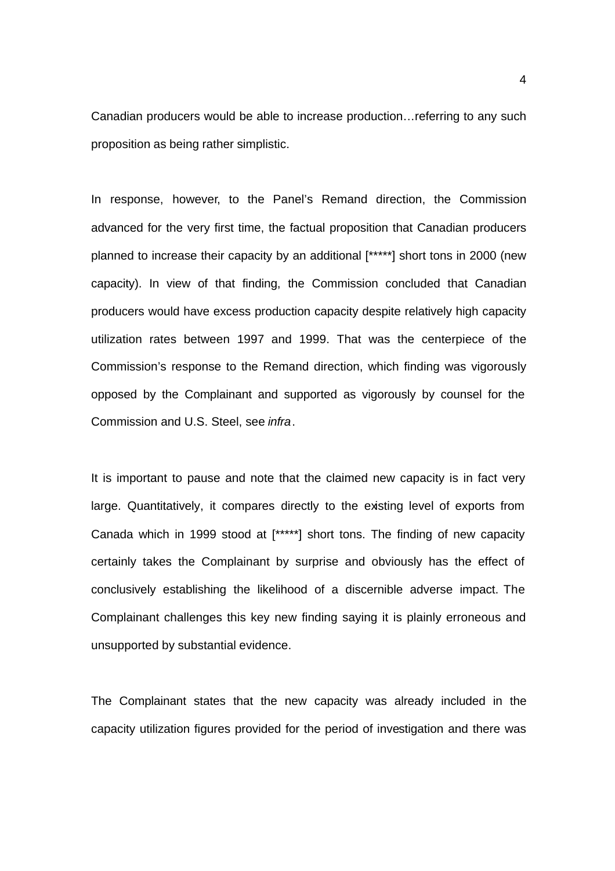Canadian producers would be able to increase production…referring to any such proposition as being rather simplistic.

In response, however, to the Panel's Remand direction, the Commission advanced for the very first time, the factual proposition that Canadian producers planned to increase their capacity by an additional [\*\*\*\*\*] short tons in 2000 (new capacity). In view of that finding, the Commission concluded that Canadian producers would have excess production capacity despite relatively high capacity utilization rates between 1997 and 1999. That was the centerpiece of the Commission's response to the Remand direction, which finding was vigorously opposed by the Complainant and supported as vigorously by counsel for the Commission and U.S. Steel, see *infra*.

It is important to pause and note that the claimed new capacity is in fact very large. Quantitatively, it compares directly to the existing level of exports from Canada which in 1999 stood at [\*\*\*\*\*] short tons. The finding of new capacity certainly takes the Complainant by surprise and obviously has the effect of conclusively establishing the likelihood of a discernible adverse impact. The Complainant challenges this key new finding saying it is plainly erroneous and unsupported by substantial evidence.

The Complainant states that the new capacity was already included in the capacity utilization figures provided for the period of investigation and there was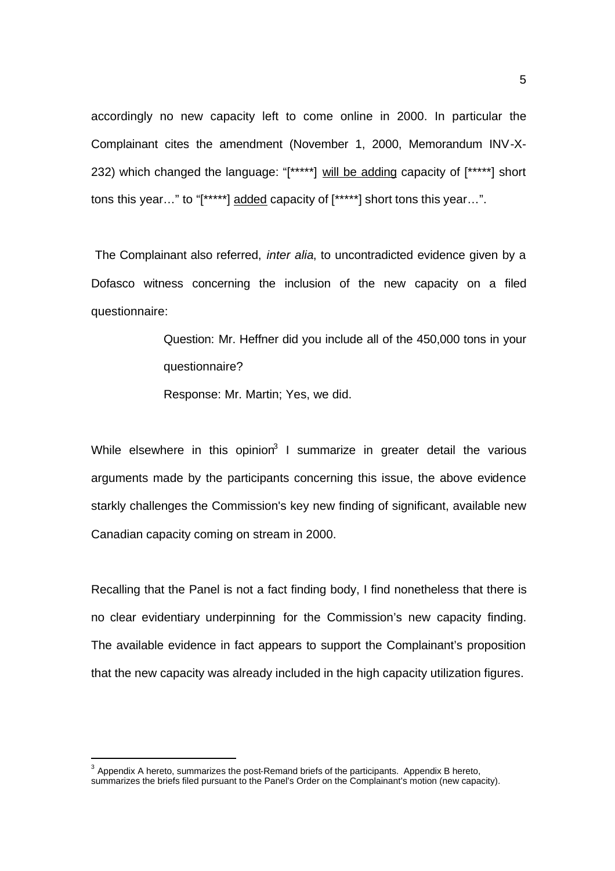accordingly no new capacity left to come online in 2000. In particular the Complainant cites the amendment (November 1, 2000, Memorandum INV-X-232) which changed the language: "[\*\*\*\*\*] will be adding capacity of [\*\*\*\*\*] short tons this year…" to "[\*\*\*\*\*] added capacity of [\*\*\*\*\*] short tons this year…".

 The Complainant also referred, *inter alia*, to uncontradicted evidence given by a Dofasco witness concerning the inclusion of the new capacity on a filed questionnaire:

> Question: Mr. Heffner did you include all of the 450,000 tons in your questionnaire?

Response: Mr. Martin; Yes, we did.

While elsewhere in this opinion<sup>3</sup> I summarize in greater detail the various arguments made by the participants concerning this issue, the above evidence starkly challenges the Commission's key new finding of significant, available new Canadian capacity coming on stream in 2000.

Recalling that the Panel is not a fact finding body, I find nonetheless that there is no clear evidentiary underpinning for the Commission's new capacity finding. The available evidence in fact appears to support the Complainant's proposition that the new capacity was already included in the high capacity utilization figures.

l

 $3$  Appendix A hereto, summarizes the post-Remand briefs of the participants. Appendix B hereto, summarizes the briefs filed pursuant to the Panel's Order on the Complainant's motion (new capacity).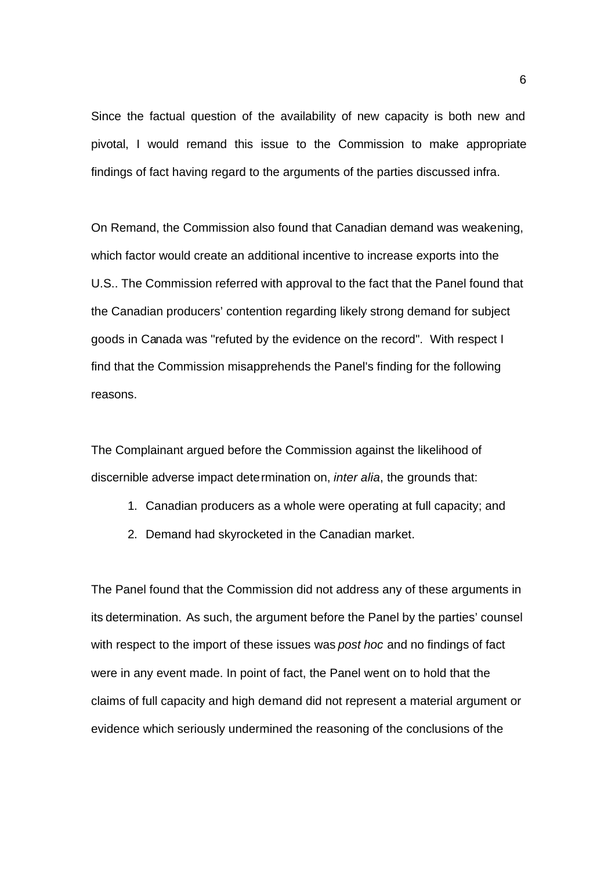Since the factual question of the availability of new capacity is both new and pivotal, I would remand this issue to the Commission to make appropriate findings of fact having regard to the arguments of the parties discussed infra.

On Remand, the Commission also found that Canadian demand was weakening, which factor would create an additional incentive to increase exports into the U.S.. The Commission referred with approval to the fact that the Panel found that the Canadian producers' contention regarding likely strong demand for subject goods in Canada was "refuted by the evidence on the record". With respect I find that the Commission misapprehends the Panel's finding for the following reasons.

The Complainant argued before the Commission against the likelihood of discernible adverse impact determination on, *inter alia*, the grounds that:

- 1. Canadian producers as a whole were operating at full capacity; and
- 2. Demand had skyrocketed in the Canadian market.

The Panel found that the Commission did not address any of these arguments in its determination. As such, the argument before the Panel by the parties' counsel with respect to the import of these issues was *post hoc* and no findings of fact were in any event made. In point of fact, the Panel went on to hold that the claims of full capacity and high demand did not represent a material argument or evidence which seriously undermined the reasoning of the conclusions of the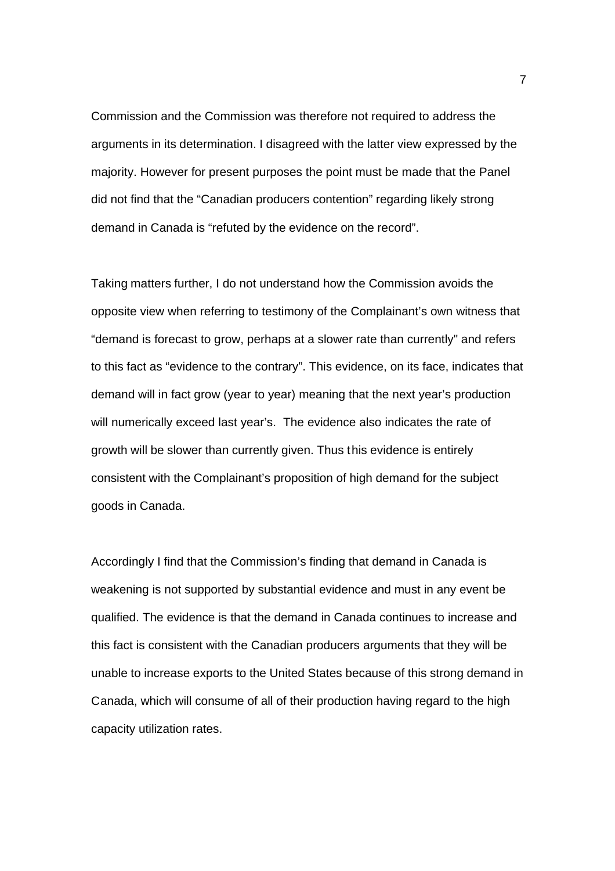Commission and the Commission was therefore not required to address the arguments in its determination. I disagreed with the latter view expressed by the majority. However for present purposes the point must be made that the Panel did not find that the "Canadian producers contention" regarding likely strong demand in Canada is "refuted by the evidence on the record".

Taking matters further, I do not understand how the Commission avoids the opposite view when referring to testimony of the Complainant's own witness that "demand is forecast to grow, perhaps at a slower rate than currently" and refers to this fact as "evidence to the contrary". This evidence, on its face, indicates that demand will in fact grow (year to year) meaning that the next year's production will numerically exceed last year's. The evidence also indicates the rate of growth will be slower than currently given. Thus this evidence is entirely consistent with the Complainant's proposition of high demand for the subject goods in Canada.

Accordingly I find that the Commission's finding that demand in Canada is weakening is not supported by substantial evidence and must in any event be qualified. The evidence is that the demand in Canada continues to increase and this fact is consistent with the Canadian producers arguments that they will be unable to increase exports to the United States because of this strong demand in Canada, which will consume of all of their production having regard to the high capacity utilization rates.

7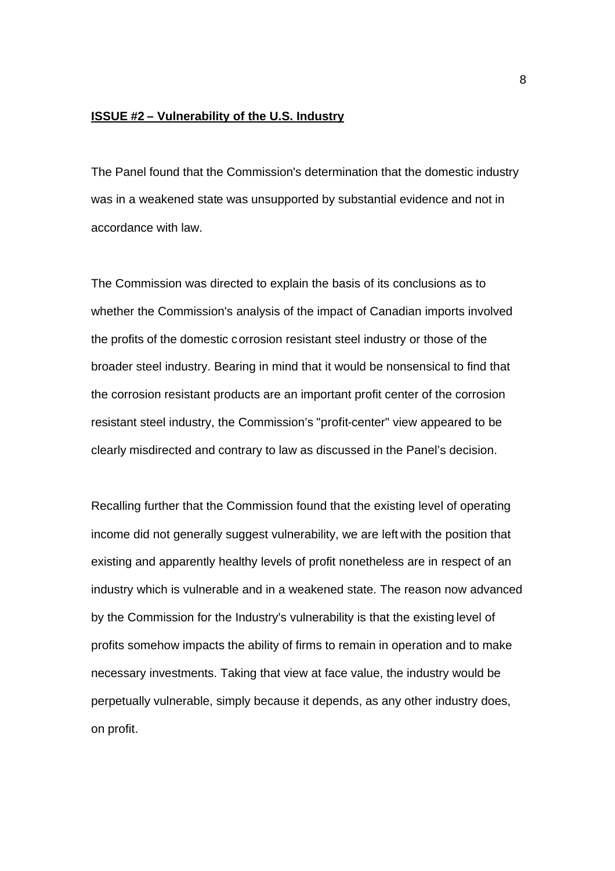#### **ISSUE #2 – Vulnerability of the U.S. Industry**

The Panel found that the Commission's determination that the domestic industry was in a weakened state was unsupported by substantial evidence and not in accordance with law.

The Commission was directed to explain the basis of its conclusions as to whether the Commission's analysis of the impact of Canadian imports involved the profits of the domestic corrosion resistant steel industry or those of the broader steel industry. Bearing in mind that it would be nonsensical to find that the corrosion resistant products are an important profit center of the corrosion resistant steel industry, the Commission's "profit-center" view appeared to be clearly misdirected and contrary to law as discussed in the Panel's decision.

Recalling further that the Commission found that the existing level of operating income did not generally suggest vulnerability, we are left with the position that existing and apparently healthy levels of profit nonetheless are in respect of an industry which is vulnerable and in a weakened state. The reason now advanced by the Commission for the Industry's vulnerability is that the existing level of profits somehow impacts the ability of firms to remain in operation and to make necessary investments. Taking that view at face value, the industry would be perpetually vulnerable, simply because it depends, as any other industry does, on profit.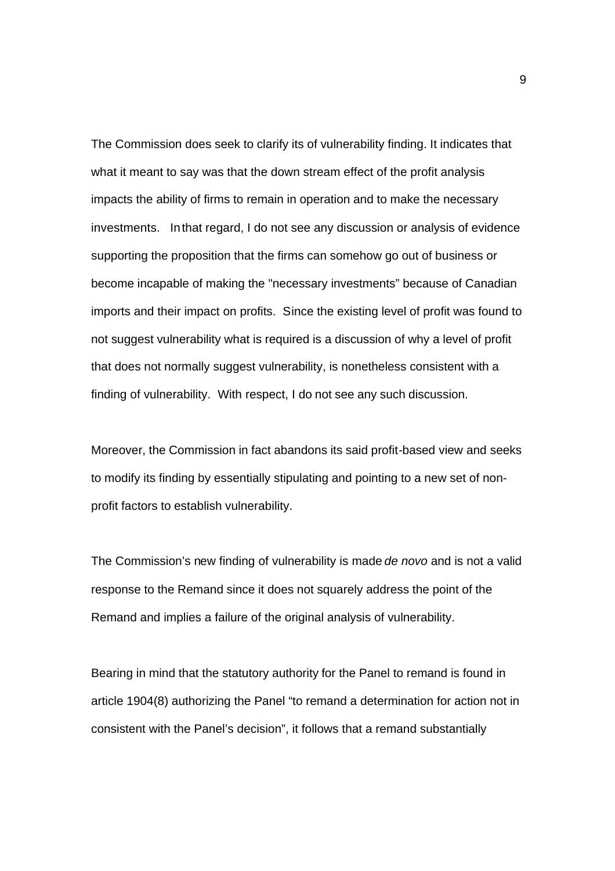The Commission does seek to clarify its of vulnerability finding. It indicates that what it meant to say was that the down stream effect of the profit analysis impacts the ability of firms to remain in operation and to make the necessary investments. In that regard, I do not see any discussion or analysis of evidence supporting the proposition that the firms can somehow go out of business or become incapable of making the "necessary investments" because of Canadian imports and their impact on profits. Since the existing level of profit was found to not suggest vulnerability what is required is a discussion of why a level of profit that does not normally suggest vulnerability, is nonetheless consistent with a finding of vulnerability. With respect, I do not see any such discussion.

Moreover, the Commission in fact abandons its said profit-based view and seeks to modify its finding by essentially stipulating and pointing to a new set of nonprofit factors to establish vulnerability.

The Commission's new finding of vulnerability is made *de novo* and is not a valid response to the Remand since it does not squarely address the point of the Remand and implies a failure of the original analysis of vulnerability.

Bearing in mind that the statutory authority for the Panel to remand is found in article 1904(8) authorizing the Panel "to remand a determination for action not in consistent with the Panel's decision", it follows that a remand substantially

9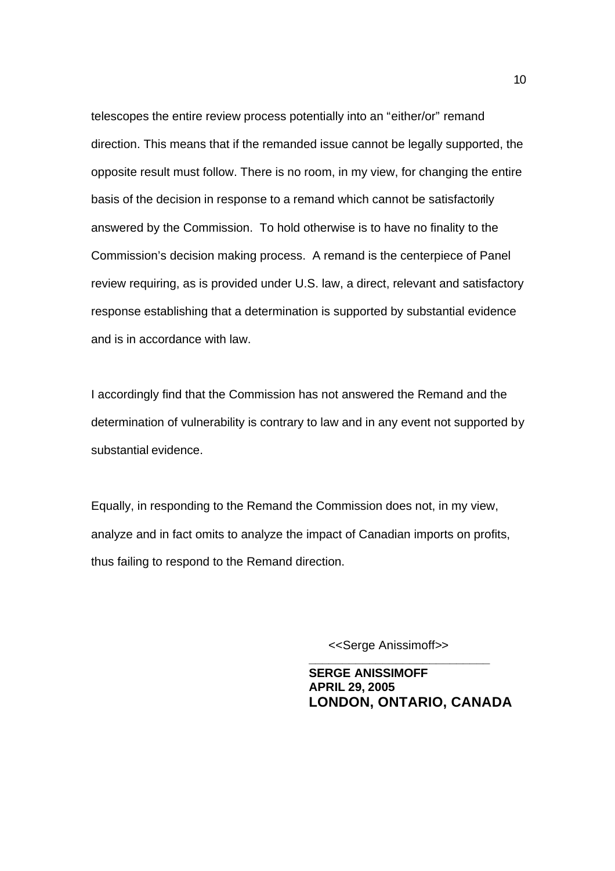telescopes the entire review process potentially into an "either/or" remand direction. This means that if the remanded issue cannot be legally supported, the opposite result must follow. There is no room, in my view, for changing the entire basis of the decision in response to a remand which cannot be satisfactorily answered by the Commission. To hold otherwise is to have no finality to the Commission's decision making process. A remand is the centerpiece of Panel review requiring, as is provided under U.S. law, a direct, relevant and satisfactory response establishing that a determination is supported by substantial evidence and is in accordance with law.

I accordingly find that the Commission has not answered the Remand and the determination of vulnerability is contrary to law and in any event not supported by substantial evidence.

Equally, in responding to the Remand the Commission does not, in my view, analyze and in fact omits to analyze the impact of Canadian imports on profits, thus failing to respond to the Remand direction.

<<Serge Anissimoff>>

**\_\_\_\_\_\_\_\_\_\_\_\_\_\_\_\_\_\_\_\_\_\_\_\_\_\_\_ SERGE ANISSIMOFF APRIL 29, 2005 LONDON, ONTARIO, CANADA**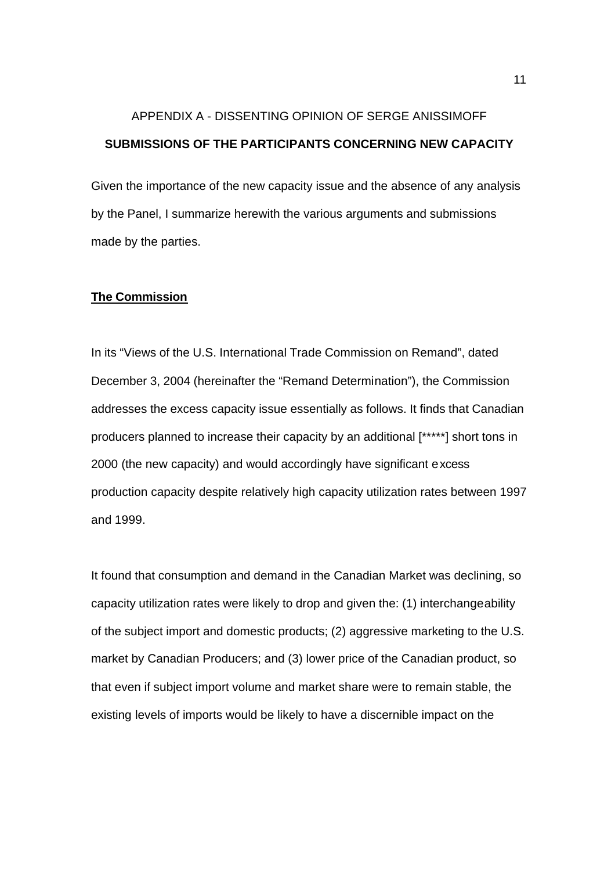# APPENDIX A - DISSENTING OPINION OF SERGE ANISSIMOFF **SUBMISSIONS OF THE PARTICIPANTS CONCERNING NEW CAPACITY**

Given the importance of the new capacity issue and the absence of any analysis by the Panel, I summarize herewith the various arguments and submissions made by the parties.

#### **The Commission**

In its "Views of the U.S. International Trade Commission on Remand", dated December 3, 2004 (hereinafter the "Remand Determination"), the Commission addresses the excess capacity issue essentially as follows. It finds that Canadian producers planned to increase their capacity by an additional [\*\*\*\*\*] short tons in 2000 (the new capacity) and would accordingly have significant excess production capacity despite relatively high capacity utilization rates between 1997 and 1999.

It found that consumption and demand in the Canadian Market was declining, so capacity utilization rates were likely to drop and given the: (1) interchangeability of the subject import and domestic products; (2) aggressive marketing to the U.S. market by Canadian Producers; and (3) lower price of the Canadian product, so that even if subject import volume and market share were to remain stable, the existing levels of imports would be likely to have a discernible impact on the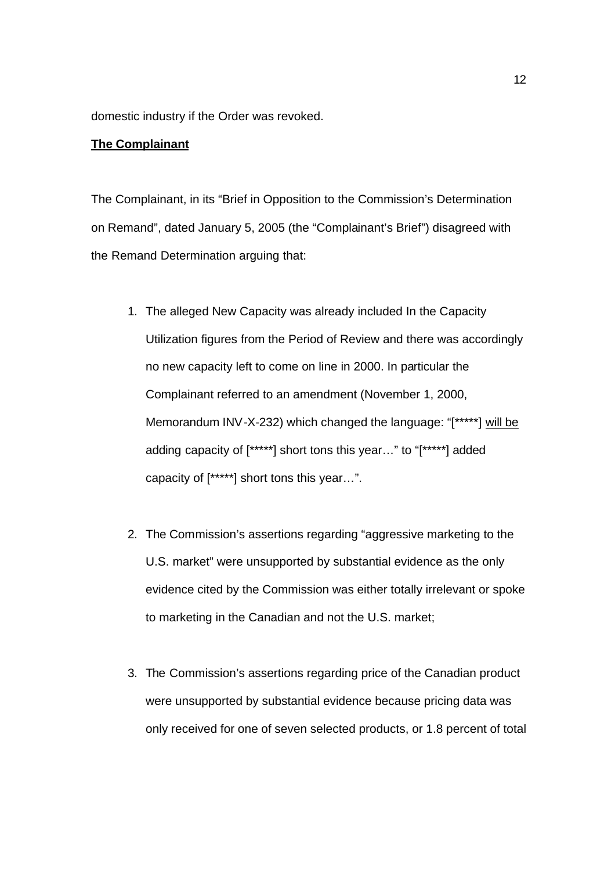domestic industry if the Order was revoked.

#### **The Complainant**

The Complainant, in its "Brief in Opposition to the Commission's Determination on Remand", dated January 5, 2005 (the "Complainant's Brief") disagreed with the Remand Determination arguing that:

- 1. The alleged New Capacity was already included In the Capacity Utilization figures from the Period of Review and there was accordingly no new capacity left to come on line in 2000. In particular the Complainant referred to an amendment (November 1, 2000, Memorandum INV-X-232) which changed the language: "[\*\*\*\*\*] will be adding capacity of [\*\*\*\*\*] short tons this year…" to "[\*\*\*\*\*] added capacity of [\*\*\*\*\*] short tons this year…".
- 2. The Commission's assertions regarding "aggressive marketing to the U.S. market" were unsupported by substantial evidence as the only evidence cited by the Commission was either totally irrelevant or spoke to marketing in the Canadian and not the U.S. market;
- 3. The Commission's assertions regarding price of the Canadian product were unsupported by substantial evidence because pricing data was only received for one of seven selected products, or 1.8 percent of total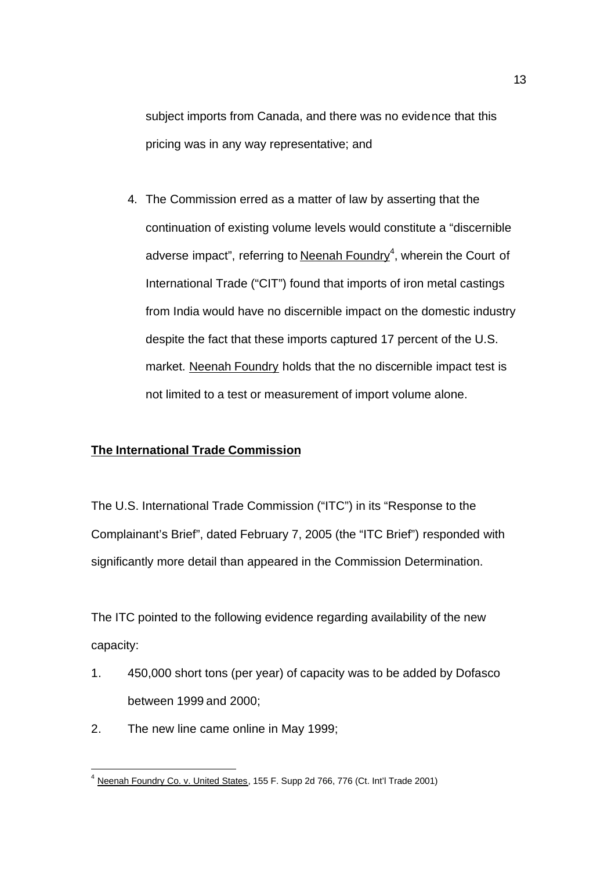subject imports from Canada, and there was no evidence that this pricing was in any way representative; and

4. The Commission erred as a matter of law by asserting that the continuation of existing volume levels would constitute a "discernible adverse impact", referring to Neenah Foundry<sup>4</sup>, wherein the Court of International Trade ("CIT") found that imports of iron metal castings from India would have no discernible impact on the domestic industry despite the fact that these imports captured 17 percent of the U.S. market. Neenah Foundry holds that the no discernible impact test is not limited to a test or measurement of import volume alone.

# **The International Trade Commission**

The U.S. International Trade Commission ("ITC") in its "Response to the Complainant's Brief", dated February 7, 2005 (the "ITC Brief") responded with significantly more detail than appeared in the Commission Determination.

The ITC pointed to the following evidence regarding availability of the new capacity:

- 1. 450,000 short tons (per year) of capacity was to be added by Dofasco between 1999 and 2000;
- 2. The new line came online in May 1999;

<sup>&</sup>lt;sup>4</sup> Neenah Foundry Co. v. United States, 155 F. Supp 2d 766, 776 (Ct. Int'l Trade 2001)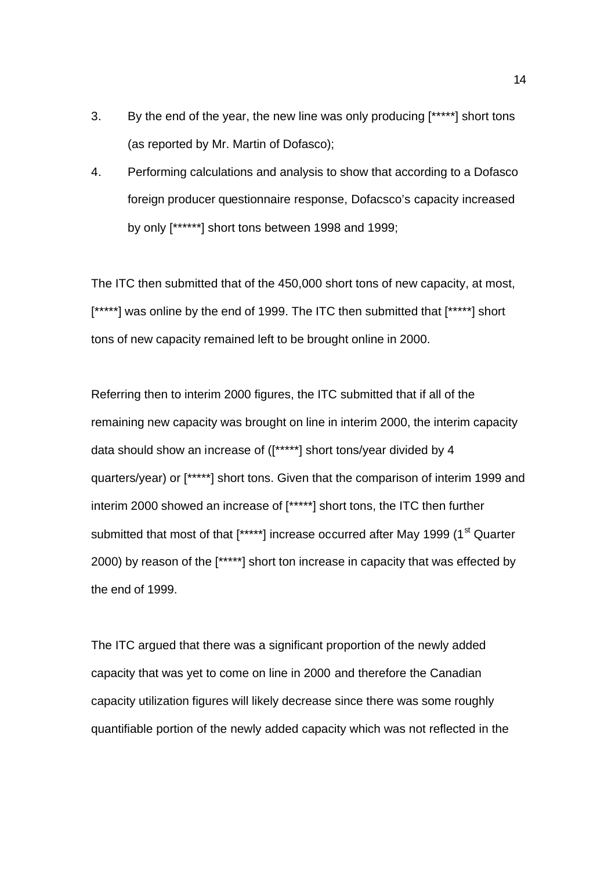- 3. By the end of the year, the new line was only producing [\*\*\*\*\*] short tons (as reported by Mr. Martin of Dofasco);
- 4. Performing calculations and analysis to show that according to a Dofasco foreign producer questionnaire response, Dofacsco's capacity increased by only [\*\*\*\*\*\*] short tons between 1998 and 1999;

The ITC then submitted that of the 450,000 short tons of new capacity, at most, [\*\*\*\*\*] was online by the end of 1999. The ITC then submitted that [\*\*\*\*\*] short tons of new capacity remained left to be brought online in 2000.

Referring then to interim 2000 figures, the ITC submitted that if all of the remaining new capacity was brought on line in interim 2000, the interim capacity data should show an increase of ([\*\*\*\*\*] short tons/year divided by 4 quarters/year) or [\*\*\*\*\*] short tons. Given that the comparison of interim 1999 and interim 2000 showed an increase of [\*\*\*\*\*] short tons, the ITC then further submitted that most of that [\*\*\*\*\*] increase occurred after May 1999 (1<sup>st</sup> Quarter 2000) by reason of the [\*\*\*\*\*] short ton increase in capacity that was effected by the end of 1999.

The ITC argued that there was a significant proportion of the newly added capacity that was yet to come on line in 2000 and therefore the Canadian capacity utilization figures will likely decrease since there was some roughly quantifiable portion of the newly added capacity which was not reflected in the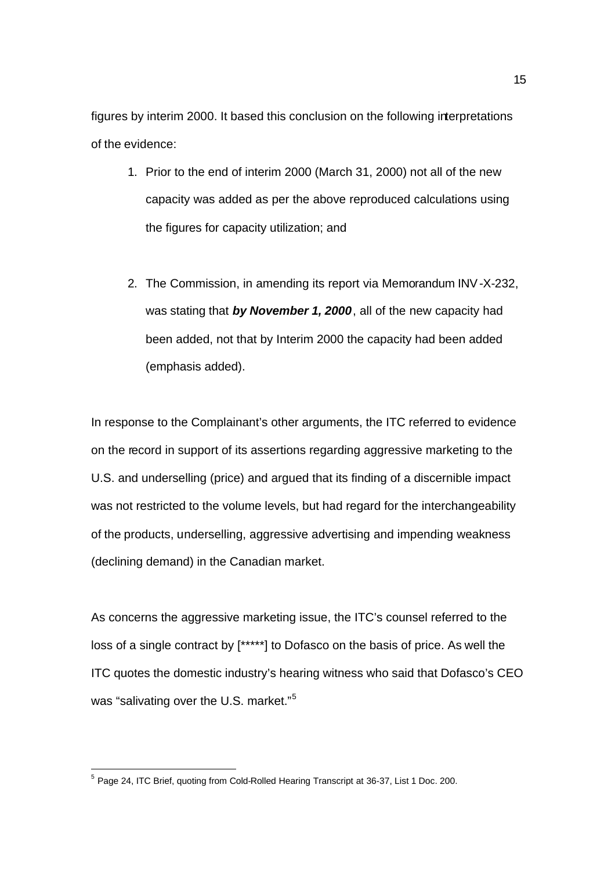figures by interim 2000. It based this conclusion on the following interpretations of the evidence:

- 1. Prior to the end of interim 2000 (March 31, 2000) not all of the new capacity was added as per the above reproduced calculations using the figures for capacity utilization; and
- 2. The Commission, in amending its report via Memorandum INV-X-232, was stating that *by November 1, 2000*, all of the new capacity had been added, not that by Interim 2000 the capacity had been added (emphasis added).

In response to the Complainant's other arguments, the ITC referred to evidence on the record in support of its assertions regarding aggressive marketing to the U.S. and underselling (price) and argued that its finding of a discernible impact was not restricted to the volume levels, but had regard for the interchangeability of the products, underselling, aggressive advertising and impending weakness (declining demand) in the Canadian market.

As concerns the aggressive marketing issue, the ITC's counsel referred to the loss of a single contract by [\*\*\*\*\*] to Dofasco on the basis of price. As well the ITC quotes the domestic industry's hearing witness who said that Dofasco's CEO was "salivating over the U.S. market."<sup>5</sup>

<sup>&</sup>lt;sup>5</sup> Page 24, ITC Brief, quoting from Cold-Rolled Hearing Transcript at 36-37, List 1 Doc. 200.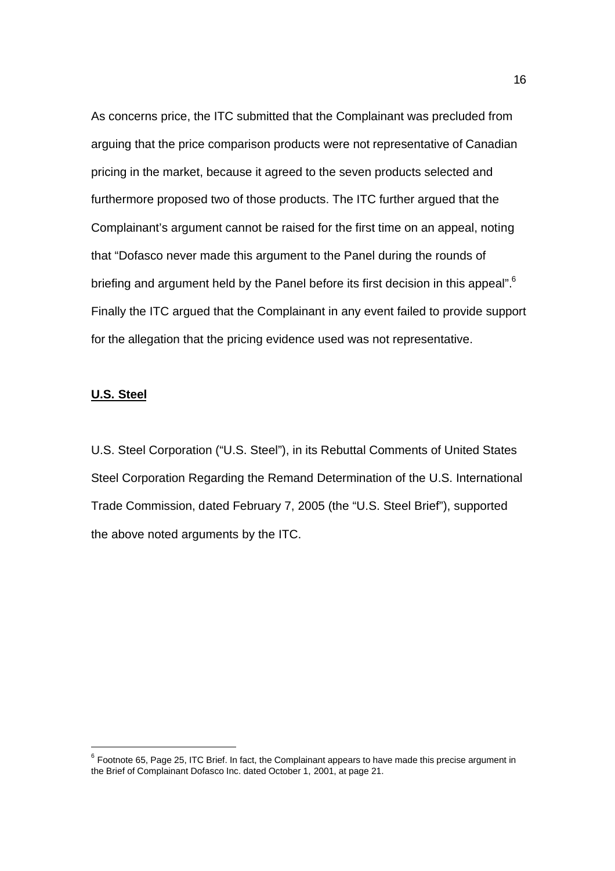As concerns price, the ITC submitted that the Complainant was precluded from arguing that the price comparison products were not representative of Canadian pricing in the market, because it agreed to the seven products selected and furthermore proposed two of those products. The ITC further argued that the Complainant's argument cannot be raised for the first time on an appeal, noting that "Dofasco never made this argument to the Panel during the rounds of briefing and argument held by the Panel before its first decision in this appeal".<sup>6</sup> Finally the ITC argued that the Complainant in any event failed to provide support for the allegation that the pricing evidence used was not representative.

#### **U.S. Steel**

l

U.S. Steel Corporation ("U.S. Steel"), in its Rebuttal Comments of United States Steel Corporation Regarding the Remand Determination of the U.S. International Trade Commission, dated February 7, 2005 (the "U.S. Steel Brief"), supported the above noted arguments by the ITC.

16

 $^6$  Footnote 65, Page 25, ITC Brief. In fact, the Complainant appears to have made this precise argument in the Brief of Complainant Dofasco Inc. dated October 1, 2001, at page 21.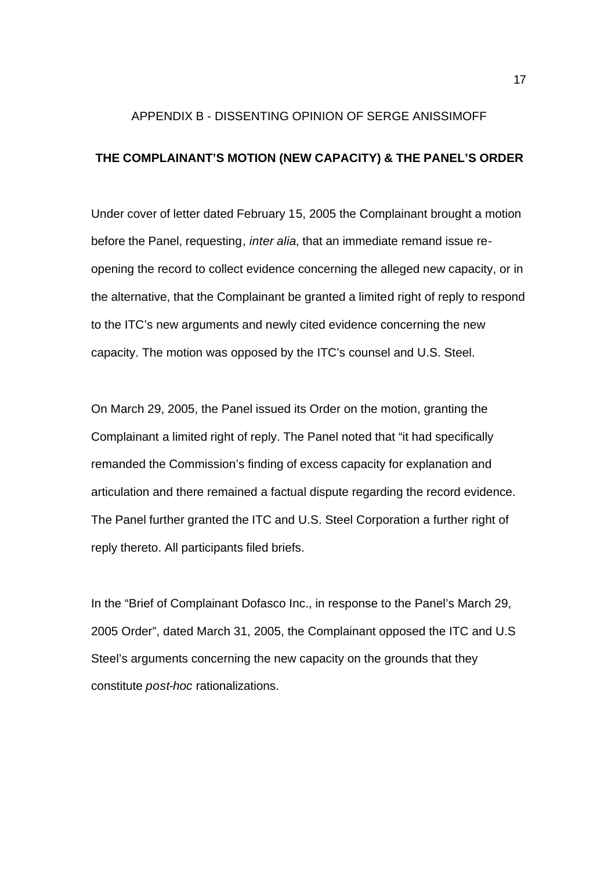#### APPENDIX B - DISSENTING OPINION OF SERGE ANISSIMOFF

## **THE COMPLAINANT'S MOTION (NEW CAPACITY) & THE PANEL'S ORDER**

Under cover of letter dated February 15, 2005 the Complainant brought a motion before the Panel, requesting*, inter alia*, that an immediate remand issue reopening the record to collect evidence concerning the alleged new capacity, or in the alternative, that the Complainant be granted a limited right of reply to respond to the ITC's new arguments and newly cited evidence concerning the new capacity. The motion was opposed by the ITC's counsel and U.S. Steel.

On March 29, 2005, the Panel issued its Order on the motion, granting the Complainant a limited right of reply. The Panel noted that "it had specifically remanded the Commission's finding of excess capacity for explanation and articulation and there remained a factual dispute regarding the record evidence. The Panel further granted the ITC and U.S. Steel Corporation a further right of reply thereto. All participants filed briefs.

In the "Brief of Complainant Dofasco Inc., in response to the Panel's March 29, 2005 Order", dated March 31, 2005, the Complainant opposed the ITC and U.S Steel's arguments concerning the new capacity on the grounds that they constitute *post-hoc* rationalizations.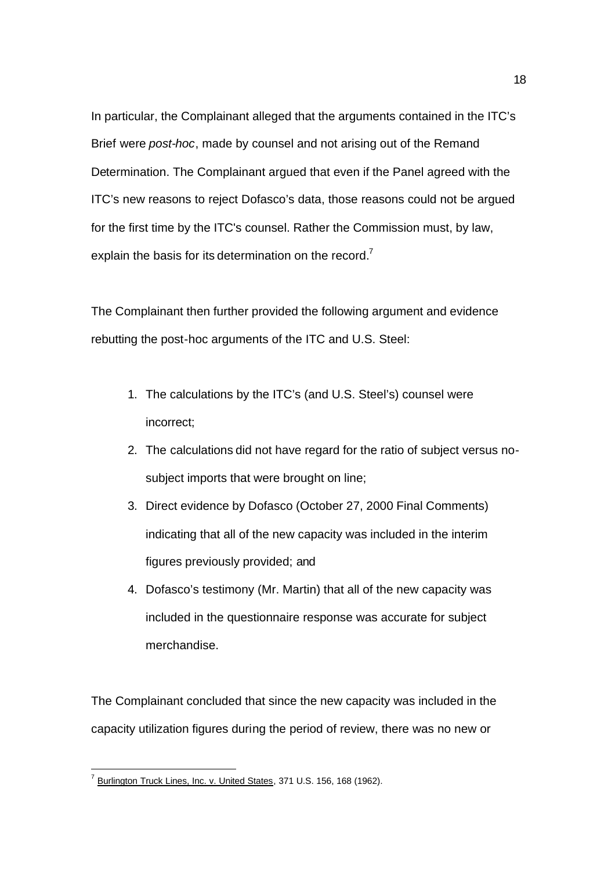In particular, the Complainant alleged that the arguments contained in the ITC's Brief were *post-hoc*, made by counsel and not arising out of the Remand Determination. The Complainant argued that even if the Panel agreed with the ITC's new reasons to reject Dofasco's data, those reasons could not be argued for the first time by the ITC's counsel. Rather the Commission must, by law, explain the basis for its determination on the record.<sup>7</sup>

The Complainant then further provided the following argument and evidence rebutting the post-hoc arguments of the ITC and U.S. Steel:

- 1. The calculations by the ITC's (and U.S. Steel's) counsel were incorrect;
- 2. The calculations did not have regard for the ratio of subject versus nosubject imports that were brought on line;
- 3. Direct evidence by Dofasco (October 27, 2000 Final Comments) indicating that all of the new capacity was included in the interim figures previously provided; and
- 4. Dofasco's testimony (Mr. Martin) that all of the new capacity was included in the questionnaire response was accurate for subject merchandise.

The Complainant concluded that since the new capacity was included in the capacity utilization figures during the period of review, there was no new or

<sup>&</sup>lt;sup>7</sup> Burlington Truck Lines, Inc. v. United States, 371 U.S. 156, 168 (1962).